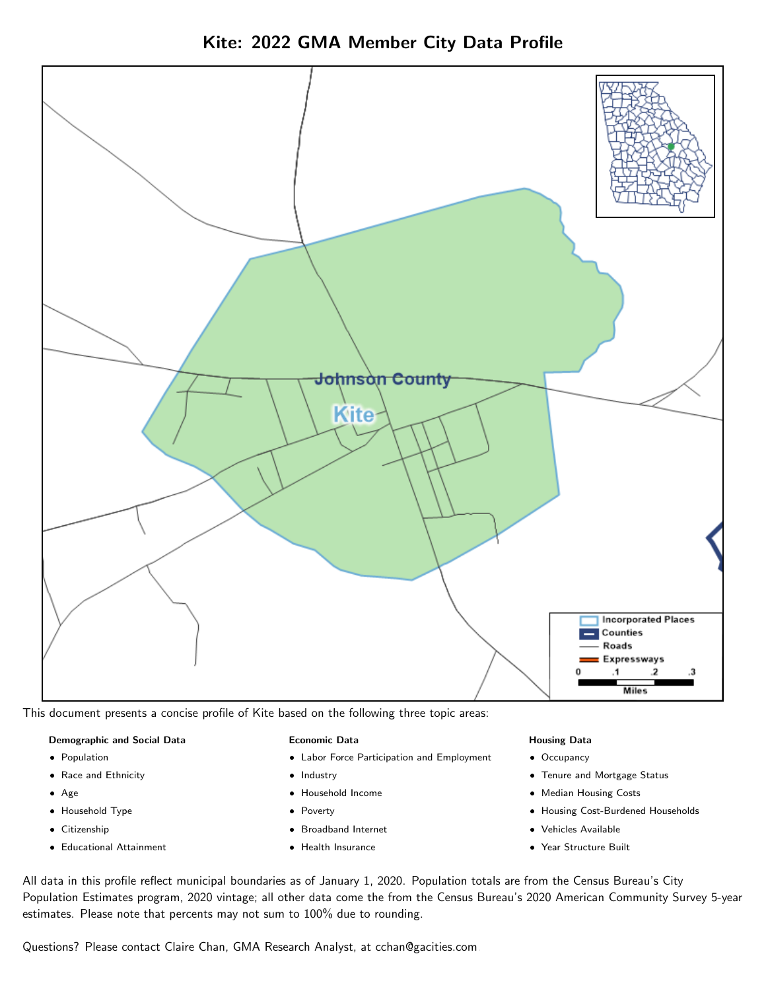Kite: 2022 GMA Member City Data Profile



This document presents a concise profile of Kite based on the following three topic areas:

### Demographic and Social Data

- **•** Population
- Race and Ethnicity
- Age
- Household Type
- **Citizenship**
- Educational Attainment

### Economic Data

- Labor Force Participation and Employment
- Industry
- Household Income
- Poverty
- Broadband Internet
- Health Insurance

#### Housing Data

- Occupancy
- Tenure and Mortgage Status
- Median Housing Costs
- Housing Cost-Burdened Households
- Vehicles Available
- Year Structure Built

All data in this profile reflect municipal boundaries as of January 1, 2020. Population totals are from the Census Bureau's City Population Estimates program, 2020 vintage; all other data come the from the Census Bureau's 2020 American Community Survey 5-year estimates. Please note that percents may not sum to 100% due to rounding.

Questions? Please contact Claire Chan, GMA Research Analyst, at [cchan@gacities.com.](mailto:cchan@gacities.com)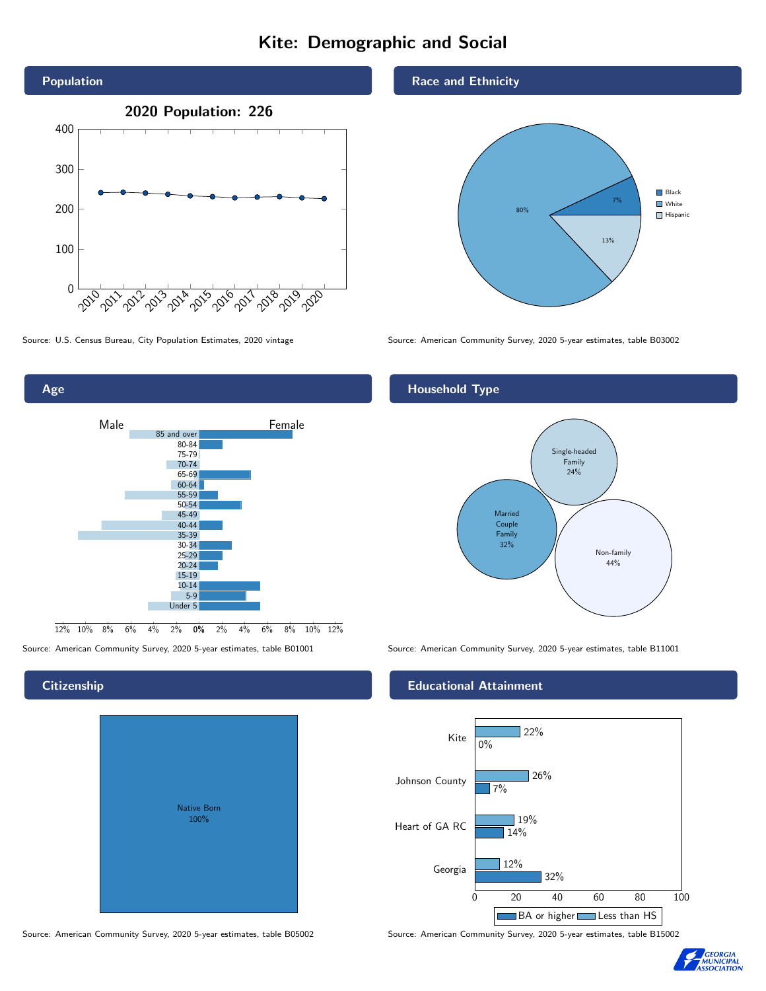# Kite: Demographic and Social





# **Citizenship**

| Native Born<br>100% |  |
|---------------------|--|
|                     |  |

Race and Ethnicity



Source: U.S. Census Bureau, City Population Estimates, 2020 vintage Source: American Community Survey, 2020 5-year estimates, table B03002

## Household Type



Source: American Community Survey, 2020 5-year estimates, table B01001 Source: American Community Survey, 2020 5-year estimates, table B11001

## Educational Attainment



Source: American Community Survey, 2020 5-year estimates, table B05002 Source: American Community Survey, 2020 5-year estimates, table B15002

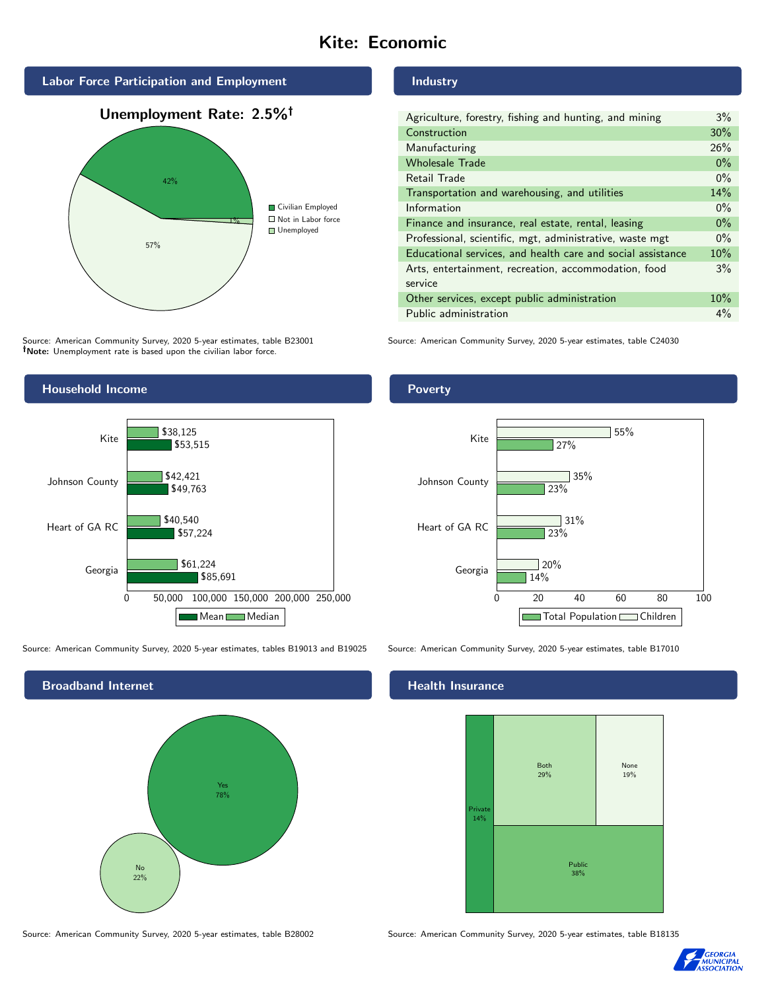# Kite: Economic



Source: American Community Survey, 2020 5-year estimates, table B23001 Note: Unemployment rate is based upon the civilian labor force.

# Industry

Poverty

| Agriculture, forestry, fishing and hunting, and mining      | 3%    |
|-------------------------------------------------------------|-------|
| Construction                                                | 30%   |
| Manufacturing                                               | 26%   |
| <b>Wholesale Trade</b>                                      | $0\%$ |
| Retail Trade                                                | $0\%$ |
| Transportation and warehousing, and utilities               |       |
| Information                                                 | $0\%$ |
| Finance and insurance, real estate, rental, leasing         |       |
| Professional, scientific, mgt, administrative, waste mgt    |       |
| Educational services, and health care and social assistance |       |
| Arts, entertainment, recreation, accommodation, food        |       |
| service                                                     |       |
| Other services, except public administration                |       |
| Public administration                                       |       |

Source: American Community Survey, 2020 5-year estimates, table C24030



Source: American Community Survey, 2020 5-year estimates, tables B19013 and B19025 Source: American Community Survey, 2020 5-year estimates, table B17010



Georgia  $14%$ 

23%

 $31%$ 

35%

 $\sqrt{20\%}$ 

23%

27%

0 20 40 60 80 100

Total Population Children

55%

# **Health Insurance**

Heart of GA RC

Johnson County

Kite



Source: American Community Survey, 2020 5-year estimates, table B28002 Source: American Community Survey, 2020 5-year estimates, table B18135